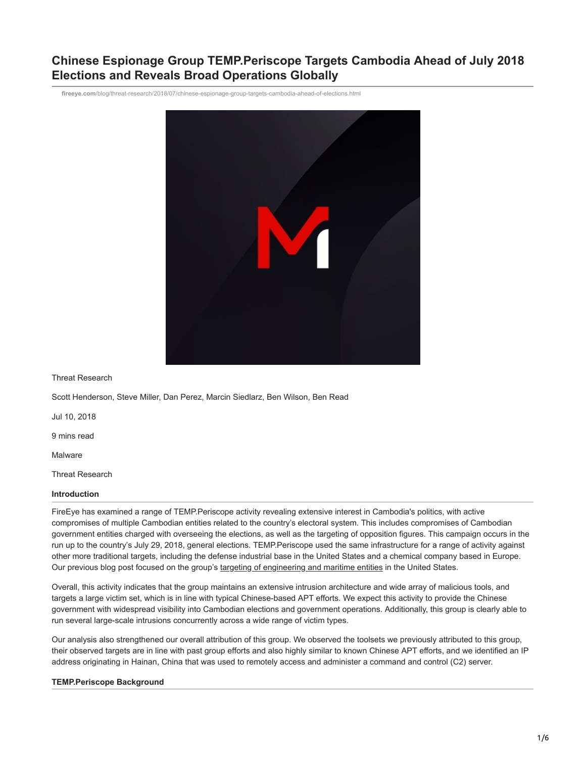# **Chinese Espionage Group TEMP.Periscope Targets Cambodia Ahead of July 2018 Elections and Reveals Broad Operations Globally**

**fireeye.com**[/blog/threat-research/2018/07/chinese-espionage-group-targets-cambodia-ahead-of-elections.html](https://www.fireeye.com/blog/threat-research/2018/07/chinese-espionage-group-targets-cambodia-ahead-of-elections.html)



Threat Research

Scott Henderson, Steve Miller, Dan Perez, Marcin Siedlarz, Ben Wilson, Ben Read

Jul 10, 2018

9 mins read

Malware

Threat Research

#### **Introduction**

FireEye has examined a range of TEMP.Periscope activity revealing extensive interest in Cambodia's politics, with active compromises of multiple Cambodian entities related to the country's electoral system. This includes compromises of Cambodian government entities charged with overseeing the elections, as well as the targeting of opposition figures. This campaign occurs in the run up to the country's July 29, 2018, general elections. TEMP.Periscope used the same infrastructure for a range of activity against other more traditional targets, including the defense industrial base in the United States and a chemical company based in Europe. Our previous blog post focused on the group's [targeting of engineering and maritime entities](https://www.fireeye.com/resources/suspected-chinese-espionage-group-targeting-maritime-and-engineering-industries) in the United States.

Overall, this activity indicates that the group maintains an extensive intrusion architecture and wide array of malicious tools, and targets a large victim set, which is in line with typical Chinese-based APT efforts. We expect this activity to provide the Chinese government with widespread visibility into Cambodian elections and government operations. Additionally, this group is clearly able to run several large-scale intrusions concurrently across a wide range of victim types.

Our analysis also strengthened our overall attribution of this group. We observed the toolsets we previously attributed to this group, their observed targets are in line with past group efforts and also highly similar to known Chinese APT efforts, and we identified an IP address originating in Hainan, China that was used to remotely access and administer a command and control (C2) server.

## **TEMP.Periscope Background**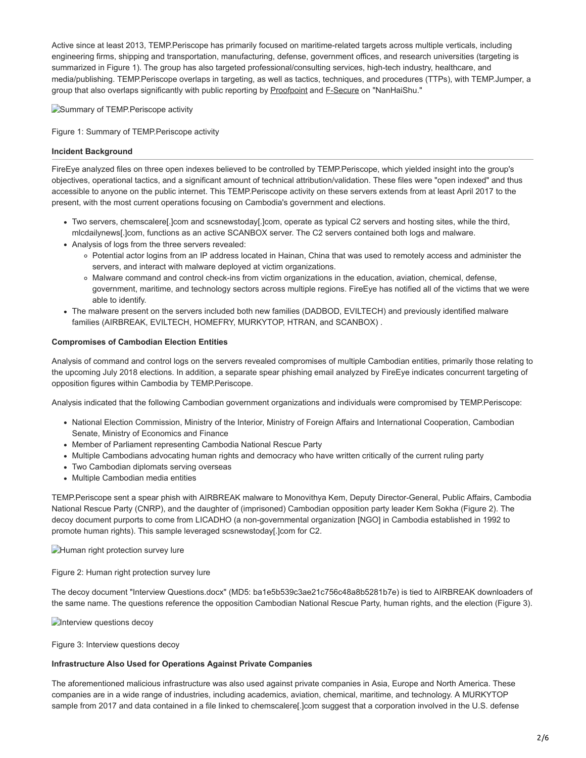Active since at least 2013, TEMP.Periscope has primarily focused on maritime-related targets across multiple verticals, including engineering firms, shipping and transportation, manufacturing, defense, government offices, and research universities (targeting is summarized in Figure 1). The group has also targeted professional/consulting services, high-tech industry, healthcare, and media/publishing. TEMP.Periscope overlaps in targeting, as well as tactics, techniques, and procedures (TTPs), with TEMP.Jumper, a group that also overlaps significantly with public reporting by [Proofpoint](https://www.proofpoint.com/us/threat-insight/post/leviathan-espionage-actor-spearphishes-maritime-and-defense-targets) and [F-Secure](https://www.f-secure.com/documents/996508/1030745/nanhaishu_whitepaper.pdf) on "NanHaiShu."

Summary of TEMP.Periscope activity

Figure 1: Summary of TEMP.Periscope activity

#### **Incident Background**

FireEye analyzed files on three open indexes believed to be controlled by TEMP.Periscope, which yielded insight into the group's objectives, operational tactics, and a significant amount of technical attribution/validation. These files were "open indexed" and thus accessible to anyone on the public internet. This TEMP.Periscope activity on these servers extends from at least April 2017 to the present, with the most current operations focusing on Cambodia's government and elections.

- Two servers, chemscalere[.]com and scsnewstoday[.]com, operate as typical C2 servers and hosting sites, while the third, mlcdailynews[.]com, functions as an active SCANBOX server. The C2 servers contained both logs and malware.
- Analysis of logs from the three servers revealed:
	- Potential actor logins from an IP address located in Hainan, China that was used to remotely access and administer the servers, and interact with malware deployed at victim organizations.
	- Malware command and control check-ins from victim organizations in the education, aviation, chemical, defense, government, maritime, and technology sectors across multiple regions. FireEye has notified all of the victims that we were able to identify.
- The malware present on the servers included both new families (DADBOD, EVILTECH) and previously identified malware families (AIRBREAK, EVILTECH, HOMEFRY, MURKYTOP, HTRAN, and SCANBOX) .

#### **Compromises of Cambodian Election Entities**

Analysis of command and control logs on the servers revealed compromises of multiple Cambodian entities, primarily those relating to the upcoming July 2018 elections. In addition, a separate spear phishing email analyzed by FireEye indicates concurrent targeting of opposition figures within Cambodia by TEMP.Periscope.

Analysis indicated that the following Cambodian government organizations and individuals were compromised by TEMP.Periscope:

- National Election Commission, Ministry of the Interior, Ministry of Foreign Affairs and International Cooperation, Cambodian Senate, Ministry of Economics and Finance
- Member of Parliament representing Cambodia National Rescue Party
- Multiple Cambodians advocating human rights and democracy who have written critically of the current ruling party
- Two Cambodian diplomats serving overseas
- Multiple Cambodian media entities

TEMP.Periscope sent a spear phish with AIRBREAK malware to Monovithya Kem, Deputy Director-General, Public Affairs, Cambodia National Rescue Party (CNRP), and the daughter of (imprisoned) Cambodian opposition party leader Kem Sokha (Figure 2). The decoy document purports to come from LICADHO (a non-governmental organization [NGO] in Cambodia established in 1992 to promote human rights). This sample leveraged scsnewstoday[.]com for C2.

Human right protection survey lure

Figure 2: Human right protection survey lure

The decoy document "Interview Questions.docx" (MD5: ba1e5b539c3ae21c756c48a8b5281b7e) is tied to AIRBREAK downloaders of the same name. The questions reference the opposition Cambodian National Rescue Party, human rights, and the election (Figure 3).

**Interview questions decoy** 

Figure 3: Interview questions decoy

#### **Infrastructure Also Used for Operations Against Private Companies**

The aforementioned malicious infrastructure was also used against private companies in Asia, Europe and North America. These companies are in a wide range of industries, including academics, aviation, chemical, maritime, and technology. A MURKYTOP sample from 2017 and data contained in a file linked to chemscalere[.]com suggest that a corporation involved in the U.S. defense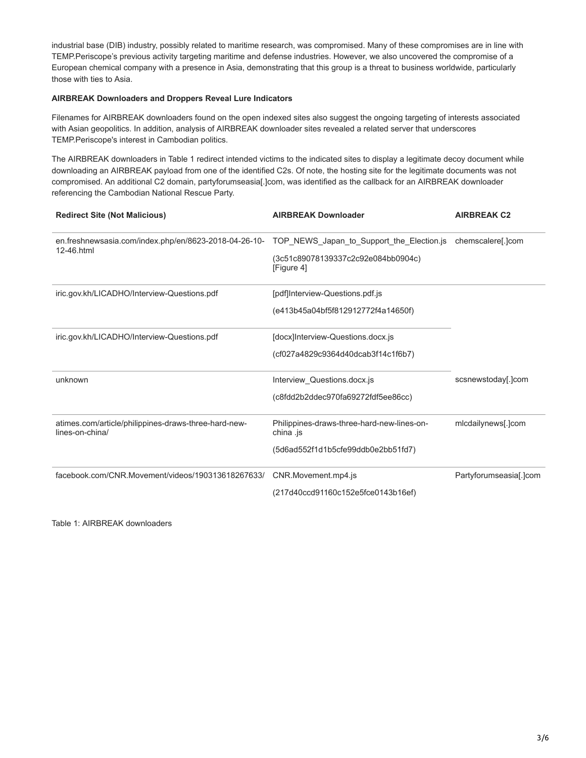industrial base (DIB) industry, possibly related to maritime research, was compromised. Many of these compromises are in line with TEMP.Periscope's previous activity targeting maritime and defense industries. However, we also uncovered the compromise of a European chemical company with a presence in Asia, demonstrating that this group is a threat to business worldwide, particularly those with ties to Asia.

#### **AIRBREAK Downloaders and Droppers Reveal Lure Indicators**

Filenames for AIRBREAK downloaders found on the open indexed sites also suggest the ongoing targeting of interests associated with Asian geopolitics. In addition, analysis of AIRBREAK downloader sites revealed a related server that underscores TEMP.Periscope's interest in Cambodian politics.

The AIRBREAK downloaders in Table 1 redirect intended victims to the indicated sites to display a legitimate decoy document while downloading an AIRBREAK payload from one of the identified C2s. Of note, the hosting site for the legitimate documents was not compromised. An additional C2 domain, partyforumseasia[.]com, was identified as the callback for an AIRBREAK downloader referencing the Cambodian National Rescue Party.

| <b>Redirect Site (Not Malicious)</b>                                    | <b>AIRBREAK Downloader</b>                              | <b>AIRBREAK C2</b>     |
|-------------------------------------------------------------------------|---------------------------------------------------------|------------------------|
| en.freshnewsasia.com/index.php/en/8623-2018-04-26-10-<br>12-46.html     | TOP_NEWS_Japan_to_Support_the_Election.js               | chemscalere[.]com      |
|                                                                         | (3c51c89078139337c2c92e084bb0904c)<br>[Figure 4]        |                        |
| iric.gov.kh/LICADHO/Interview-Questions.pdf                             | [pdf]Interview-Questions.pdf.js                         |                        |
|                                                                         | (e413b45a04bf5f812912772f4a14650f)                      |                        |
| iric.gov.kh/LICADHO/Interview-Questions.pdf                             | [docx]Interview-Questions.docx.js                       |                        |
|                                                                         | (cf027a4829c9364d40dcab3f14c1f6b7)                      |                        |
| unknown                                                                 | Interview_Questions.docx.js                             | scsnewstoday[.]com     |
|                                                                         | (c8fdd2b2ddec970fa69272fdf5ee86cc)                      |                        |
| atimes.com/article/philippines-draws-three-hard-new-<br>lines-on-china/ | Philippines-draws-three-hard-new-lines-on-<br>china .js | mlcdailynews[.]com     |
|                                                                         | (5d6ad552f1d1b5cfe99ddb0e2bb51fd7)                      |                        |
| facebook.com/CNR.Movement/videos/190313618267633/                       | CNR.Movement.mp4.js                                     | Partyforumseasia[.]com |
|                                                                         | (217d40ccd91160c152e5fce0143b16ef)                      |                        |

Table 1: AIRBREAK downloaders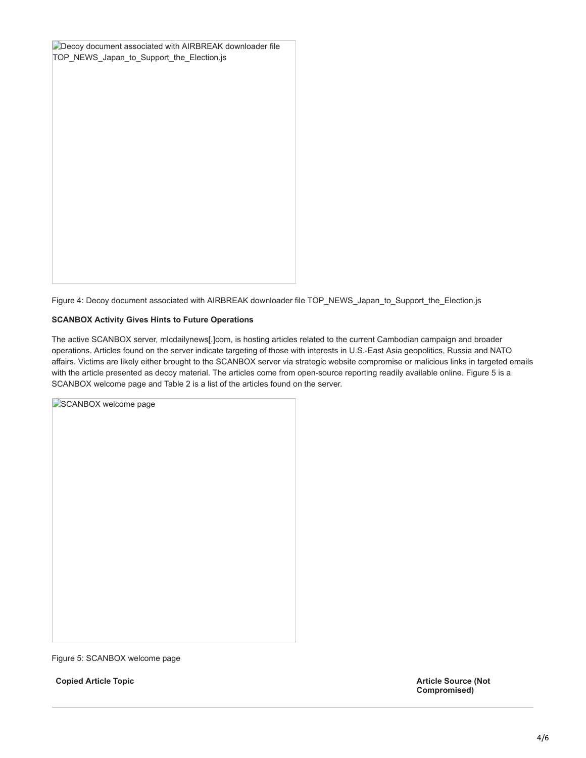| Decoy document associated with AIRBREAK downloader file<br>TOP_NEWS_Japan_to_Support_the_Election.js |  |  |
|------------------------------------------------------------------------------------------------------|--|--|
|                                                                                                      |  |  |
|                                                                                                      |  |  |
|                                                                                                      |  |  |
|                                                                                                      |  |  |
|                                                                                                      |  |  |

Figure 4: Decoy document associated with AIRBREAK downloader file TOP\_NEWS\_Japan\_to\_Support\_the\_Election.js

#### **SCANBOX Activity Gives Hints to Future Operations**

The active SCANBOX server, mlcdailynews[.]com, is hosting articles related to the current Cambodian campaign and broader operations. Articles found on the server indicate targeting of those with interests in U.S.-East Asia geopolitics, Russia and NATO affairs. Victims are likely either brought to the SCANBOX server via strategic website compromise or malicious links in targeted emails with the article presented as decoy material. The articles come from open-source reporting readily available online. Figure 5 is a SCANBOX welcome page and Table 2 is a list of the articles found on the server.

| SCANBOX welcome page |  |
|----------------------|--|
|                      |  |
|                      |  |
|                      |  |
|                      |  |
|                      |  |
|                      |  |
|                      |  |
|                      |  |
|                      |  |
|                      |  |
|                      |  |
|                      |  |
|                      |  |
|                      |  |

Figure 5: SCANBOX welcome page

**Copied Article Topic Article Source (Not**

**Compromised)**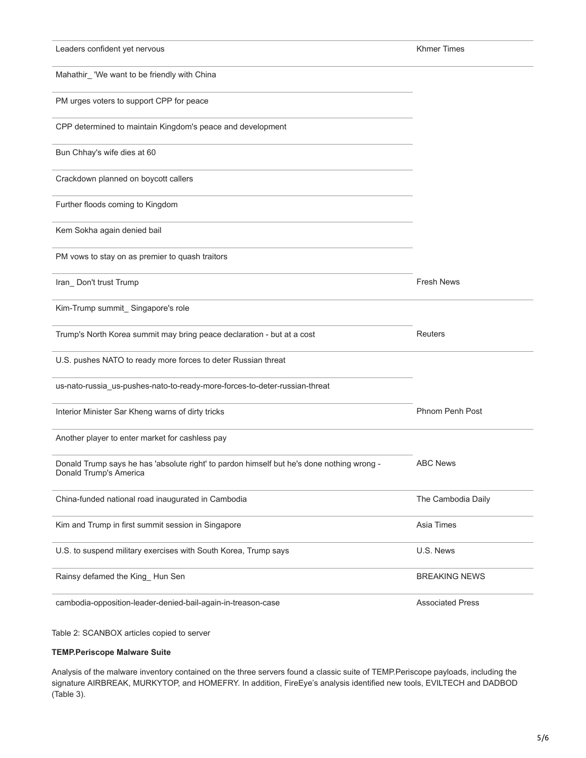| Leaders confident yet nervous                                                                                       | <b>Khmer Times</b>      |
|---------------------------------------------------------------------------------------------------------------------|-------------------------|
| Mahathir_ 'We want to be friendly with China                                                                        |                         |
| PM urges voters to support CPP for peace                                                                            |                         |
| CPP determined to maintain Kingdom's peace and development                                                          |                         |
| Bun Chhay's wife dies at 60                                                                                         |                         |
| Crackdown planned on boycott callers                                                                                |                         |
| Further floods coming to Kingdom                                                                                    |                         |
| Kem Sokha again denied bail                                                                                         |                         |
| PM vows to stay on as premier to quash traitors                                                                     |                         |
| Iran_Don't trust Trump                                                                                              | <b>Fresh News</b>       |
| Kim-Trump summit_Singapore's role                                                                                   |                         |
| Trump's North Korea summit may bring peace declaration - but at a cost                                              | Reuters                 |
| U.S. pushes NATO to ready more forces to deter Russian threat                                                       |                         |
| us-nato-russia_us-pushes-nato-to-ready-more-forces-to-deter-russian-threat                                          |                         |
| Interior Minister Sar Kheng warns of dirty tricks                                                                   | Phnom Penh Post         |
| Another player to enter market for cashless pay                                                                     |                         |
| Donald Trump says he has 'absolute right' to pardon himself but he's done nothing wrong -<br>Donald Trump's America | <b>ABC News</b>         |
| China-funded national road inaugurated in Cambodia                                                                  | The Cambodia Daily      |
| Kim and Trump in first summit session in Singapore                                                                  | Asia Times              |
| U.S. to suspend military exercises with South Korea, Trump says                                                     | U.S. News               |
| Rainsy defamed the King_Hun Sen                                                                                     | <b>BREAKING NEWS</b>    |
| cambodia-opposition-leader-denied-bail-again-in-treason-case                                                        | <b>Associated Press</b> |

Table 2: SCANBOX articles copied to server

# **TEMP.Periscope Malware Suite**

Analysis of the malware inventory contained on the three servers found a classic suite of TEMP.Periscope payloads, including the signature AIRBREAK, MURKYTOP, and HOMEFRY. In addition, FireEye's analysis identified new tools, EVILTECH and DADBOD (Table 3).